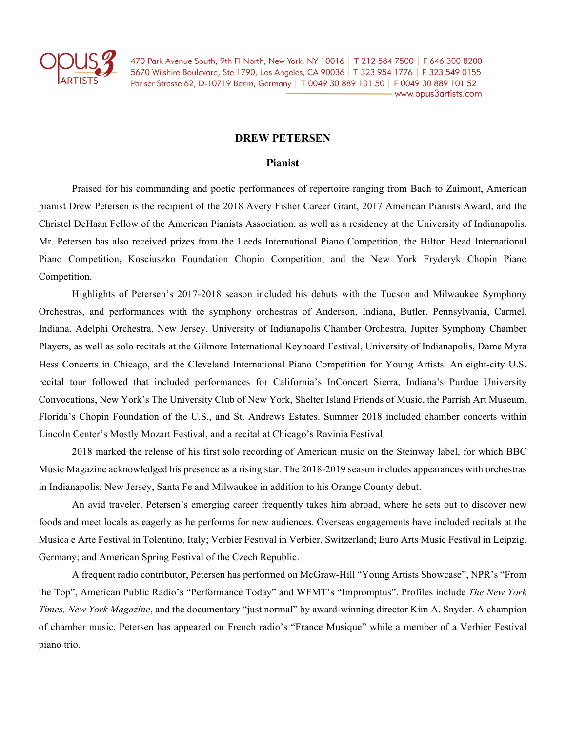

470 Park Avenue South, 9th FI North, New York, NY 10016 | T 212 584 7500 | F 646 300 8200 5670 Wilshire Boulevard, Ste 1790, Los Angeles, CA 90036 | T 323 954 1776 | F 323 549 0155 Pariser Strasse 62, D-10719 Berlin, Germany | T 0049 30 889 101 50 | F 0049 30 889 101 52 - www.opus3artists.com

## **DREW PETERSEN**

## **Pianist**

Praised for his commanding and poetic performances of repertoire ranging from Bach to Zaimont, American pianist Drew Petersen is the recipient of the 2018 Avery Fisher Career Grant, 2017 American Pianists Award, and the Christel DeHaan Fellow of the American Pianists Association, as well as a residency at the University of Indianapolis. Mr. Petersen has also received prizes from the Leeds International Piano Competition, the Hilton Head International Piano Competition, Kosciuszko Foundation Chopin Competition, and the New York Fryderyk Chopin Piano Competition.

Highlights of Petersen's 2017-2018 season included his debuts with the Tucson and Milwaukee Symphony Orchestras, and performances with the symphony orchestras of Anderson, Indiana, Butler, Pennsylvania, Carmel, Indiana, Adelphi Orchestra, New Jersey, University of Indianapolis Chamber Orchestra, Jupiter Symphony Chamber Players, as well as solo recitals at the Gilmore International Keyboard Festival, University of Indianapolis, Dame Myra Hess Concerts in Chicago, and the Cleveland International Piano Competition for Young Artists. An eight-city U.S. recital tour followed that included performances for California's InConcert Sierra, Indiana's Purdue University Convocations, New York's The University Club of New York, Shelter Island Friends of Music, the Parrish Art Museum, Florida's Chopin Foundation of the U.S., and St. Andrews Estates. Summer 2018 included chamber concerts within Lincoln Center's Mostly Mozart Festival, and a recital at Chicago's Ravinia Festival.

2018 marked the release of his first solo recording of American music on the Steinway label, for which BBC Music Magazine acknowledged his presence as a rising star. The 2018-2019 season includes appearances with orchestras in Indianapolis, New Jersey, Santa Fe and Milwaukee in addition to his Orange County debut.

An avid traveler, Petersen's emerging career frequently takes him abroad, where he sets out to discover new foods and meet locals as eagerly as he performs for new audiences. Overseas engagements have included recitals at the Musica e Arte Festival in Tolentino, Italy; Verbier Festival in Verbier, Switzerland; Euro Arts Music Festival in Leipzig, Germany; and American Spring Festival of the Czech Republic.

A frequent radio contributor, Petersen has performed on McGraw-Hill "Young Artists Showcase", NPR's "From the Top", American Public Radio's "Performance Today" and WFMT's "Impromptus". Profiles include *The New York Times, New York Magazine*, and the documentary "just normal" by award-winning director Kim A. Snyder. A champion of chamber music, Petersen has appeared on French radio's "France Musique" while a member of a Verbier Festival piano trio.